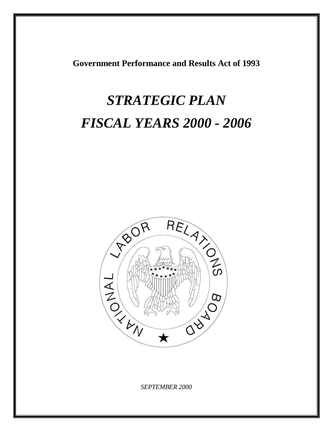**Government Performance and Results Act of 1993** 

# *STRATEGIC PLAN FISCAL YEARS 2000 - 2006*



*SEPTEMBER 2000*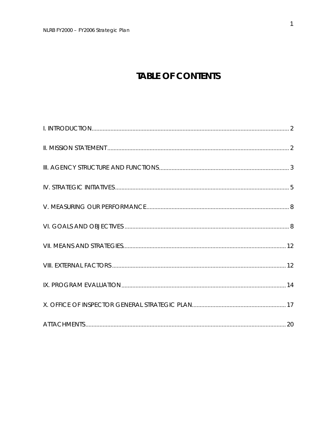# **TABLE OF CONTENTS**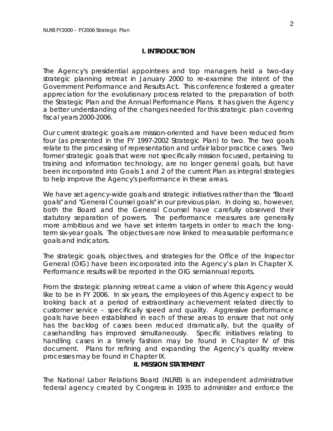#### **I. INTRODUCTION**

The Agency's presidential appointees and top managers held a two-day strategic planning retreat in January 2000 to re-examine the intent of the Government Performance and Results Act. This conference fostered a greater appreciation for the evolutionary process related to the preparation of both the Strategic Plan and the Annual Performance Plans. It has given the Agency a better understanding of the changes needed for this strategic plan covering fiscal years 2000-2006.

Our current strategic goals are mission-oriented and have been reduced from four (as presented in the FY 1997-2002 Strategic Plan) to two. The two goals relate to the processing of representation and unfair labor practice cases. Two former strategic goals that were not specifically mission focused, pertaining to training and information technology, are no longer general goals, but have been incorporated into Goals 1 and 2 of the current Plan as integral strategies to help improve the Agency's performance in these areas.

We have set agency-wide goals and strategic initiatives rather than the "Board goals" and "General Counsel goals" in our previous plan. In doing so, however, both the Board and the General Counsel have carefully observed their statutory separation of powers. The performance measures are generally more ambitious and we have set interim targets in order to reach the longterm six-year goals. The objectives are now linked to measurable performance goals and indicators.

The strategic goals, objectives, and strategies for the Office of the Inspector General (OIG) have been incorporated into the Agency's plan in Chapter X. Performance results will be reported in the OIG semiannual reports.

From the strategic planning retreat came a vision of where this Agency would like to be in FY 2006. In six years, the employees of this Agency expect to be looking back at a period of extraordinary achievement related directly to customer service – specifically speed and quality. Aggressive performance goals have been established in each of these areas to ensure that not only has the backlog of cases been reduced dramatically, but the quality of casehandling has improved simultaneously. Specific initiatives relating to handling cases in a timely fashion may be found in Chapter IV of this document. Plans for refining and expanding the Agency's quality review processes may be found in Chapter IX.

#### **II. MISSION STATEMENT**

The National Labor Relations Board (NLRB) is an independent administrative federal agency created by Congress in 1935 to administer and enforce the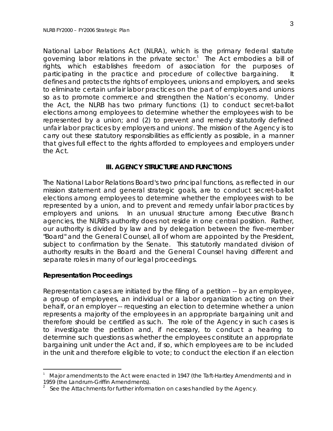National Labor Relations Act (NLRA), which is the primary federal statute governing labor relations in the private sector.<sup>1</sup> The Act embodies a bill of rights, which establishes freedom of association for the purposes of participating in the practice and procedure of collective bargaining. It defines and protects the rights of employees, unions and employers, and seeks to eliminate certain unfair labor practices on the part of employers and unions so as to promote commerce and strengthen the Nation's economy. Under the Act, the NLRB has two primary functions: (1) to conduct secret-ballot elections among employees to determine whether the employees wish to be represented by a union; and (2) to prevent and remedy statutorily defined unfair labor practices by employers and unions 2 . The mission of the Agency is to carry out these statutory responsibilities as efficiently as possible, in a manner that gives full effect to the rights afforded to employees and employers under the Act.

#### **III. AGENCY STRUCTURE AND FUNCTIONS**

The National Labor Relations Board's two principal functions, as reflected in our mission statement and general strategic goals, are to conduct secret-ballot elections among employees to determine whether the employees wish to be represented by a union, and to prevent and remedy unfair labor practices by employers and unions. In an unusual structure among Executive Branch agencies, the NLRB's authority does not reside in one central position. Rather, our authority is divided by law and by delegation between the five-member "Board" and the General Counsel, all of whom are appointed by the President, subject to confirmation by the Senate. This statutorily mandated division of authority results in the Board and the General Counsel having different and separate roles in many of our legal proceedings.

#### **Representation Proceedings**

Representation cases are initiated by the filing of a petition -- by an employee, a group of employees, an individual or a labor organization acting on their behalf, or an employer -- requesting an election to determine whether a union represents a majority of the employees in an appropriate bargaining unit and therefore should be certified as such. The role of the Agency in such cases is to investigate the petition and, if necessary, to conduct a hearing to determine such questions as whether the employees constitute an appropriate bargaining unit under the Act and, if so, which employees are to be included in the unit and therefore eligible to vote; to conduct the election if an election

Major amendments to the Act were enacted in 1947 (the Taft-Hartley Amendments) and in 1959 (the Landrum-Griffin Amendments).<br><sup>2</sup> See the Attachments for further information on cases handled by the Agency.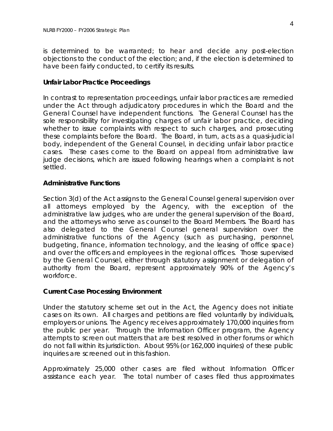is determined to be warranted; to hear and decide any post-election objections to the conduct of the election; and, if the election is determined to have been fairly conducted, to certify its results.

#### **Unfair Labor Practice Proceedings**

In contrast to representation proceedings, unfair labor practices are remedied under the Act through adjudicatory procedures in which the Board and the General Counsel have independent functions. The General Counsel has the sole responsibility for investigating charges of unfair labor practice, deciding whether to issue complaints with respect to such charges, and prosecuting these complaints before the Board. The Board, in turn, acts as a quasi-judicial body, independent of the General Counsel, in deciding unfair labor practice cases. These cases come to the Board on appeal from administrative law judge decisions, which are issued following hearings when a complaint is not settled.

#### **Administrative Functions**

Section 3(d) of the Act assigns to the General Counsel general supervision over all attorneys employed by the Agency, with the exception of the administrative law judges, who are under the general supervision of the Board, and the attorneys who serve as counsel to the Board Members. The Board has also delegated to the General Counsel general supervision over the administrative functions of the Agency (such as purchasing, personnel, budgeting, finance, information technology, and the leasing of office space) and over the officers and employees in the regional offices. Those supervised by the General Counsel, either through statutory assignment or delegation of authority from the Board, represent approximately 90% of the Agency's workforce.

#### **Current Case Processing Environment**

Under the statutory scheme set out in the Act, the Agency does not initiate cases on its own. All charges and petitions are filed voluntarily by individuals, employers or unions. The Agency receives approximately 170,000 inquiries from the public per year. Through the Information Officer program, the Agency attempts to screen out matters that are best resolved in other forums or which do not fall within its jurisdiction. About 95% (or 162,000 inquiries) of these public inquiries are screened out in this fashion.

Approximately 25,000 other cases are filed without Information Officer assistance each year. The total number of cases filed thus approximates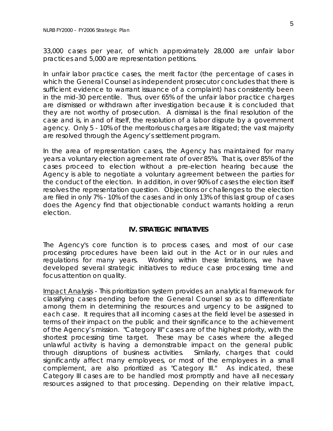33*,*000 cases per year, of which approximately 28,000 are unfair labor practices and 5,000 are representation petitions.

In unfair labor practice cases, the merit factor (the percentage of cases in which the General Counsel as independent prosecutor concludes that there is sufficient evidence to warrant issuance of a complaint) has consistently been in the mid-30 percentile. Thus, over 65% of the unfair labor practice charges are dismissed or withdrawn after investigation because it is concluded that they are not worthy of prosecution. A dismissal is the final resolution of the case and is, in and of itself, the resolution of a labor dispute by a government agency. Only 5 - 10% of the meritorious charges are litigated; the vast majority are resolved through the Agency's settlement program.

In the area of representation cases, the Agency has maintained for many years a voluntary election agreement rate of over 85%. That is, over 85% of the cases proceed to election without a pre-election hearing because the Agency is able to negotiate a voluntary agreement between the parties for the conduct of the election. In addition, in over 90% of cases the election itself resolves the representation question. Objections or challenges to the election are filed in only 7% - 10% of the cases and in only 13% of this last group of cases does the Agency find that objectionable conduct warrants holding a rerun election.

#### **IV. STRATEGIC INITIATIVES**

The Agency's core function is to process cases, and most of our case processing procedures have been laid out in the Act or in our rules and regulations for many years. Working within these limitations, we have developed several strategic initiatives to reduce case processing time and focus attention on quality.

Impact Analysis - This prioritization system provides an analytical framework for classifying cases pending before the General Counsel so as to differentiate among them in determining the resources and urgency to be assigned to each case. It requires that all incoming cases at the field level be assessed in terms of their impact on the public and their significance to the achievement of the Agency's mission. "Category III" cases are of the highest priority, with the shortest processing time target. These may be cases where the alleged unlawful activity is having a demonstrable impact on the general public through disruptions of business activities. Similarly, charges that could significantly affect many employees, or most of the employees in a small complement, are also prioritized as "Category III." As indicated, these Category III cases are to be handled most promptly and have all necessary resources assigned to that processing. Depending on their relative impact,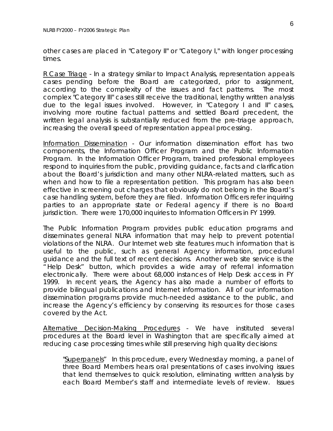other cases are placed in "Category II" or "Category I," with longer processing times.

R Case Triage - In a strategy similar to Impact Analysis, representation appeals cases pending before the Board are categorized, prior to assignment, according to the complexity of the issues and fact patterns. The most complex "Category III" cases still receive the traditional, lengthy written analysis due to the legal issues involved. However, in "Category I and II" cases, involving more routine factual patterns and settled Board precedent, the written legal analysis is substantially reduced from the pre-triage approach, increasing the overall speed of representation appeal processing.

Information Dissemination - Our information dissemination effort has two components, the Information Officer Program and the Public Information Program. In the Information Officer Program, trained professional employees respond to inquiries from the public, providing guidance, facts and clarification about the Board's jurisdiction and many other NLRA-related matters, such as when and how to file a representation petition. This program has also been effective in screening out charges that obviously do not belong in the Board's case handling system, before they are filed. Information Officers refer inquiring parties to an appropriate state or Federal agency if there is no Board jurisdiction. There were 170,000 inquiries to Information Officers in FY 1999.

The Public Information Program provides public education programs and disseminates general NLRA information that may help to prevent potential violations of the NLRA. Our Internet web site features much information that is useful to the public, such as general Agency information, procedural guidance and the full text of recent decisions. Another web site service is the "Help Desk" button, which provides a wide array of referral information electronically. There were about 68,000 instances of Help Desk access in FY 1999. In recent years, the Agency has also made a number of efforts to provide bilingual publications and Internet information. All of our information dissemination programs provide much-needed assistance to the public, and increase the Agency's efficiency by conserving its resources for those cases covered by the Act.

Alternative Decision-Making Procedures - We have instituted several procedures at the Board level in Washington that are specifically aimed at reducing case processing times while still preserving high quality decisions:

"Superpanels" In this procedure, every Wednesday morning, a panel of three Board Members hears oral presentations of cases involving issues that lend themselves to quick resolution, eliminating written analysis by each Board Member's staff and intermediate levels of review. Issues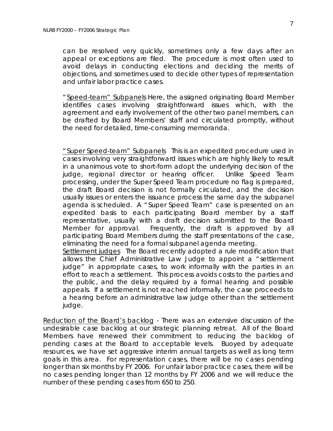can be resolved very quickly, sometimes only a few days after an appeal or exceptions are filed. The procedure is most often used to avoid delays in conducting elections and deciding the merits of objections, and sometimes used to decide other types of representation and unfair labor practice cases.

" Speed-team" Subpanels Here, the assigned originating Board Member identifies cases involving straightforward issues which, with the agreement and early involvement of the other two panel members, can be drafted by Board Members' staff and circulated promptly, without the need for detailed, time-consuming memoranda.

" Super Speed-team" Subpanels This is an expedited procedure used in cases involving very straightforward issues which are highly likely to result in a unanimous vote to short-form adopt the underlying decision of the judge, regional director or hearing officer. Unlike Speed Team processing, under the Super Speed Team procedure no flag is prepared, the draft Board decision is not formally circulated, and the decision usually issues or enters the issuance process the same day the subpanel agenda is scheduled. A " Super Speed Team" case is presented on an expedited basis to each participating Board member by a staff representative, usually with a draft decision submitted to the Board Member for approval. Frequently, the draft is approved by all participating Board Members during the staff presentations of the case, eliminating the need for a formal subpanel agenda meeting.

Settlement judges The Board recently adopted a rule modification that allows the Chief Administrative Law Judge to appoint a " settlement judge" in appropriate cases, to work informally with the parties in an effort to reach a settlement. This process avoids costs to the parties and the public, and the delay required by a formal hearing and possible appeals. If a settlement is not reached informally, the case proceeds to a hearing before an administrative law judge other than the settlement judge.

Reduction of the Board's backlog - There was an extensive discussion of the undesirable case backlog at our strategic planning retreat. All of the Board Members have renewed their commitment to reducing the backlog of pending cases at the Board to acceptable levels. Buoyed by adequate resources, we have set aggressive interim annual targets as well as long term goals in this area. For representation cases, there will be no cases pending longer than six months by FY 2006. For unfair labor practice cases, there will be no cases pending longer than 12 months by FY 2006 and we will reduce the number of these pending cases from 650 to 250.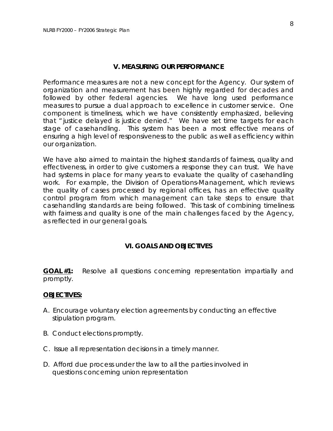#### **V. MEASURING OUR PERFORMANCE**

Performance measures are not a new concept for the Agency. Our system of organization and measurement has been highly regarded for decades and followed by other federal agencies. We have long used performance measures to pursue a dual approach to excellence in customer service. One component is timeliness, which we have consistently emphasized, believing that " justice delayed is justice denied." We have set time targets for each stage of casehandling. This system has been a most effective means of ensuring a high level of responsiveness to the public as well as efficiency within our organization.

We have also aimed to maintain the highest standards of fairness, quality and effectiveness, in order to give customers a response they can trust. We have had systems in place for many years to evaluate the quality of casehandling work. For example, the Division of Operations-Management, which reviews the quality of cases processed by regional offices, has an effective quality control program from which management can take steps to ensure that casehandling standards are being followed. This task of combining timeliness with fairness and quality is one of the main challenges faced by the Agency, as reflected in our general goals.

#### **VI. GOALS AND OBJECTIVES**

**GOAL #1:** Resolve all questions concerning representation impartially and promptly.

#### **OBJECTIVES:**

- A. Encourage voluntary election agreements by conducting an effective stipulation program.
- B. Conduct elections promptly.
- C. Issue all representation decisions in a timely manner.
- D. Afford due process under the law to all the parties involved in questions concerning union representation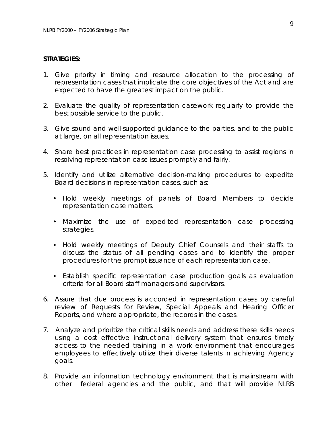#### **STRATEGIES:**

- 1. Give priority in timing and resource allocation to the processing of representation cases that implicate the core objectives of the Act and are expected to have the greatest impact on the public.
- 2. Evaluate the quality of representation casework regularly to provide the best possible service to the public.
- 3. Give sound and well-supported guidance to the parties, and to the public at large, on all representation issues.
- 4. Share best practices in representation case processing to assist regions in resolving representation case issues promptly and fairly.
- 5. Identify and utilize alternative decision-making procedures to expedite Board decisions in representation cases, such as:
	- • Hold weekly meetings of panels of Board Members to decide representation case matters.
	- Maximize the use of expedited representation case processing strategies.
	- Hold weekly meetings of Deputy Chief Counsels and their staffs to discuss the status of all pending cases and to identify the proper procedures for the prompt issuance of each representation case.
	- Establish specific representation case production goals as evaluation criteria for all Board staff managers and supervisors.
- 6. Assure that due process is accorded in representation cases by careful review of Requests for Review, Special Appeals and Hearing Officer Reports, and where appropriate, the records in the cases.
- 7. Analyze and prioritize the critical skills needs and address these skills needs using a cost effective instructional delivery system that ensures timely access to the needed training in a work environment that encourages employees to effectively utilize their diverse talents in achieving Agency goals.
- 8. Provide an information technology environment that is mainstream with other federal agencies and the public, and that will provide NLRB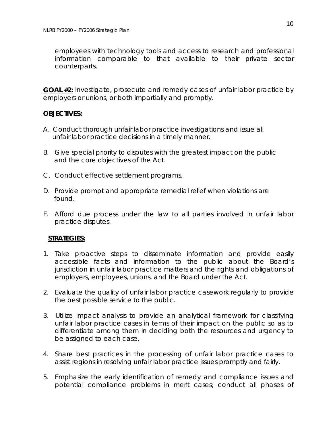employees with technology tools and access to research and professional information comparable to that available to their private sector counterparts.

**GOAL #2:** Investigate, prosecute and remedy cases of unfair labor practice by employers or unions, or both impartially and promptly.

#### **OBJECTIVES:**

- A. Conduct thorough unfair labor practice investigations and issue all unfair labor practice decisions in a timely manner.
- B. Give special priority to disputes with the greatest impact on the public and the core objectives of the Act.
- C. Conduct effective settlement programs.
- D. Provide prompt and appropriate remedial relief when violations are found.
- E. Afford due process under the law to all parties involved in unfair labor practice disputes.

#### **STRATEGIES:**

- 1. Take proactive steps to disseminate information and provide easily accessible facts and information to the public about the Board's jurisdiction in unfair labor practice matters and the rights and obligations of employers, employees, unions, and the Board under the Act.
- 2. Evaluate the quality of unfair labor practice casework regularly to provide the best possible service to the public.
- 3. Utilize impact analysis to provide an analytical framework for classifying unfair labor practice cases in terms of their impact on the public so as to differentiate among them in deciding both the resources and urgency to be assigned to each case.
- 4. Share best practices in the processing of unfair labor practice cases to assist regions in resolving unfair labor practice issues promptly and fairly.
- 5. Emphasize the early identification of remedy and compliance issues and potential compliance problems in merit cases; conduct all phases of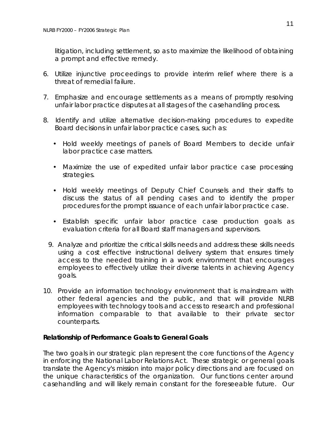litigation, including settlement, so as to maximize the likelihood of obtaining a prompt and effective remedy.

- 6. Utilize injunctive proceedings to provide interim relief where there is a threat of remedial failure.
- 7. Emphasize and encourage settlements as a means of promptly resolving unfair labor practice disputes at all stages of the casehandling process.
- 8. Identify and utilize alternative decision-making procedures to expedite Board decisions in unfair labor practice cases, such as:
	- Hold weekly meetings of panels of Board Members to decide unfair labor practice case matters.
	- Maximize the use of expedited unfair labor practice case processing strategies.
	- Hold weekly meetings of Deputy Chief Counsels and their staffs to discuss the status of all pending cases and to identify the proper procedures for the prompt issuance of each unfair labor practice case.
	- Establish specific unfair labor practice case production goals as evaluation criteria for all Board staff managers and supervisors.
	- 9. Analyze and prioritize the critical skills needs and address these skills needs using a cost effective instructional delivery system that ensures timely access to the needed training in a work environment that encourages employees to effectively utilize their diverse talents in achieving Agency goals.
- 10. Provide an information technology environment that is mainstream with other federal agencies and the public, and that will provide NLRB employees with technology tools and access to research and professional information comparable to that available to their private sector counterparts.

#### **Relationship of Performance Goals to General Goals**

The two goals in our strategic plan represent the core functions of the Agency in enforcing the National Labor Relations Act. These strategic or general goals translate the Agency's mission into major policy directions and are focused on the unique characteristics of the organization. Our functions center around casehandling and will likely remain constant for the foreseeable future. Our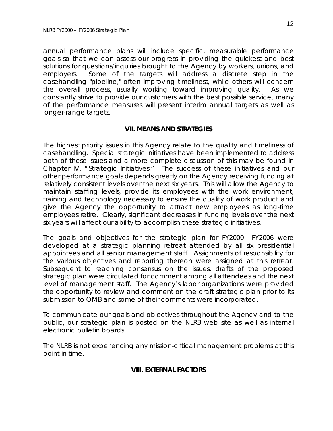annual performance plans will include specific, measurable performance goals so that we can assess our progress in providing the quickest and best solutions for questions/inquiries brought to the Agency by workers, unions, and employers. Some of the targets will address a discrete step in the casehandling "pipeline," often improving timeliness, while others will concern the overall process, usually working toward improving quality. As we constantly strive to provide our customers with the best possible service, many of the performance measures will present interim annual targets as well as longer-range targets.

#### **VII. MEANS AND STRATEGIES**

The highest priority issues in this Agency relate to the quality and timeliness of casehandling. Special strategic initiatives have been implemented to address both of these issues and a more complete discussion of this may be found in Chapter IV, " Strategic Initiatives." The success of these initiatives and our other performance goals depends greatly on the Agency receiving funding at relatively consistent levels over the next six years. This will allow the Agency to maintain staffing levels, provide its employees with the work environment, training and technology necessary to ensure the quality of work product and give the Agency the opportunity to attract new employees as long-time employees retire. Clearly, significant decreases in funding levels over the next six years will affect our ability to accomplish these strategic initiatives.

The goals and objectives for the strategic plan for FY2000– FY2006 were developed at a strategic planning retreat attended by all six presidential appointees and all senior management staff. Assignments of responsibility for the various objectives and reporting thereon were assigned at this retreat. Subsequent to reaching consensus on the issues, drafts of the proposed strategic plan were circulated for comment among all attendees and the next level of management staff. The Agency's labor organizations were provided the opportunity to review and comment on the draft strategic plan prior to its submission to OMB and some of their comments were incorporated.

To communicate our goals and objectives throughout the Agency and to the public, our strategic plan is posted on the NLRB web site as well as internal electronic bulletin boards.

The NLRB is not experiencing any mission-critical management problems at this point in time.

#### **VIII. EXTERNAL FACTORS**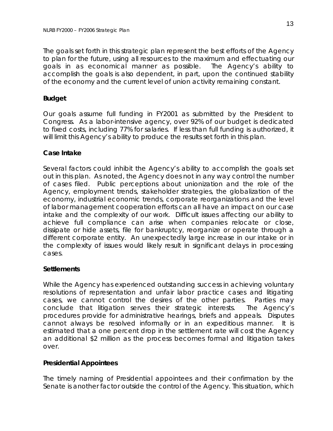The goals set forth in this strategic plan represent the best efforts of the Agency to plan for the future, using all resources to the maximum and effectuating our goals in as economical manner as possible. The Agency's ability to accomplish the goals is also dependent, in part, upon the continued stability of the economy and the current level of union activity remaining constant.

#### **Budget**

Our goals assume full funding in FY2001 as submitted by the President to Congress. As a labor-intensive agency, over 92% of our budget is dedicated to fixed costs, including 77% for salaries. If less than full funding is authorized, it will limit this Agency's ability to produce the results set forth in this plan.

#### **Case Intake**

Several factors could inhibit the Agency's ability to accomplish the goals set out in this plan. As noted, the Agency does not in any way control the number of cases filed. Public perceptions about unionization and the role of the Agency, employment trends, stakeholder strategies, the globalization of the economy, industrial economic trends, corporate reorganizations and the level of labor management cooperation efforts can all have an impact on our case intake and the complexity of our work. Difficult issues affecting our ability to achieve full compliance can arise when companies relocate or close, dissipate or hide assets, file for bankruptcy, reorganize or operate through a different corporate entity. An unexpectedly large increase in our intake or in the complexity of issues would likely result in significant delays in processing cases.

#### **Settlements**

While the Agency has experienced outstanding success in achieving voluntary resolutions of representation and unfair labor practice cases and litigating cases, we cannot control the desires of the other parties. Parties may conclude that litigation serves their strategic interests. The Agency's procedures provide for administrative hearings, briefs and appeals. Disputes cannot always be resolved informally or in an expeditious manner. It is estimated that a one percent drop in the settlement rate will cost the Agency an additional \$2 million as the process becomes formal and litigation takes over.

#### **Presidential Appointees**

The timely naming of Presidential appointees and their confirmation by the Senate is another factor outside the control of the Agency. This situation, which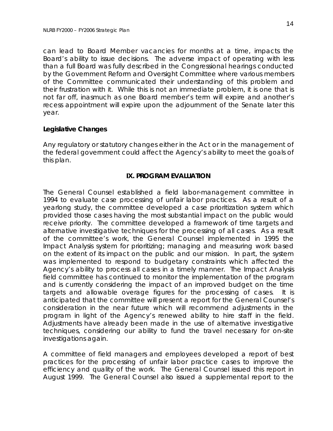can lead to Board Member vacancies for months at a time, impacts the Board's ability to issue decisions. The adverse impact of operating with less than a full Board was fully described in the Congressional hearings conducted by the Government Reform and Oversight Committee where various members of the Committee communicated their understanding of this problem and their frustration with it. While this is not an immediate problem, it is one that is not far off, inasmuch as one Board member's term will expire and another's recess appointment will expire upon the adjournment of the Senate later this year.

#### **Legislative Changes**

Any regulatory or statutory changes either in the Act or in the management of the federal government could affect the Agency's ability to meet the goals of this plan.

#### **IX. PROGRAM EVALUATION**

The General Counsel established a field labor-management committee in 1994 to evaluate case processing of unfair labor practices. As a result of a yearlong study, the committee developed a case prioritization system which provided those cases having the most substantial impact on the public would receive priority. The committee developed a framework of time targets and alternative investigative techniques for the processing of all cases. As a result of the committee's work, the General Counsel implemented in 1995 the Impact Analysis system for prioritizing; managing and measuring work based on the extent of its impact on the public and our mission. In part, the system was implemented to respond to budgetary constraints which affected the Agency's ability to process all cases in a timely manner. The Impact Analysis field committee has continued to monitor the implementation of the program and is currently considering the impact of an improved budget on the time targets and allowable overage figures for the processing of cases. It is anticipated that the committee will present a report for the General Counsel's consideration in the near future which will recommend adjustments in the program in light of the Agency's renewed ability to hire staff in the field. Adjustments have already been made in the use of alternative investigative techniques, considering our ability to fund the travel necessary for on-site investigations again.

A committee of field managers and employees developed a report of best practices for the processing of unfair labor practice cases to improve the efficiency and quality of the work. The General Counsel issued this report in August 1999. The General Counsel also issued a supplemental report to the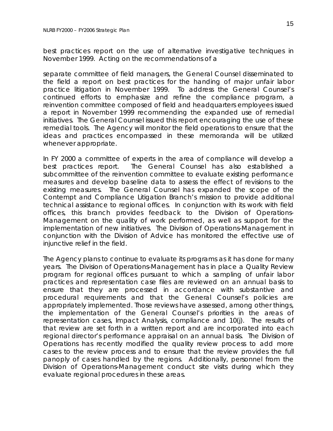best practices report on the use of alternative investigative techniques in November 1999. Acting on the recommendations of a

separate committee of field managers, the General Counsel disseminated to the field a report on best practices for the handing of major unfair labor practice litigation in November 1999. To address the General Counsel's continued efforts to emphasize and refine the compliance program, a reinvention committee composed of field and headquarters employees issued a report in November 1999 recommending the expanded use of remedial initiatives. The General Counsel issued this report encouraging the use of these remedial tools. The Agency will monitor the field operations to ensure that the ideas and practices encompassed in these memoranda will be utilized whenever appropriate.

In FY 2000 a committee of experts in the area of compliance will develop a best practices report. The General Counsel has also established a subcommittee of the reinvention committee to evaluate existing performance measures and develop baseline data to assess the effect of revisions to the existing measures. The General Counsel has expanded the scope of the Contempt and Compliance Litigation Branch's mission to provide additional technical assistance to regional offices. In conjunction with its work with field offices, this branch provides feedback to the Division of Operations-Management on the quality of work performed, as well as support for the implementation of new initiatives. The Division of Operations-Management in conjunction with the Division of Advice has monitored the effective use of injunctive relief in the field.

The Agency plans to continue to evaluate its programs as it has done for many years. The Division of Operations-Management has in place a Quality Review program for regional offices pursuant to which a sampling of unfair labor practices and representation case files are reviewed on an annual basis to ensure that they are processed in accordance with substantive and procedural requirements and that the General Counsel's policies are appropriately implemented. Those reviews have assessed, among other things, the implementation of the General Counsel's priorities in the areas of representation cases, Impact Analysis, compliance and 10(j). The results of that review are set forth in a written report and are incorporated into each regional director's performance appraisal on an annual basis. The Division of Operations has recently modified the quality review process to add more cases to the review process and to ensure that the review provides the full panoply of cases handled by the regions. Additionally, personnel from the Division of Operations-Management conduct site visits during which they evaluate regional procedures in these areas.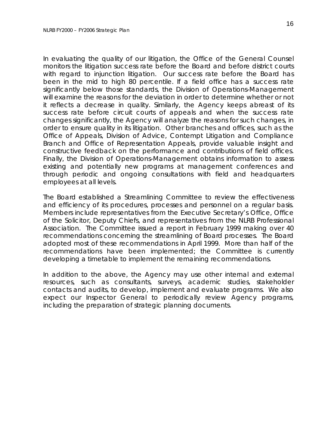In evaluating the quality of our litigation, the Office of the General Counsel monitors the litigation success rate before the Board and before district courts with regard to injunction litigation. Our success rate before the Board has been in the mid to high 80 percentile. If a field office has a success rate significantly below those standards, the Division of Operations-Management will examine the reasons for the deviation in order to determine whether or not it reflects a decrease in quality. Similarly, the Agency keeps abreast of its success rate before circuit courts of appeals and when the success rate changes significantly, the Agency will analyze the reasons for such changes, in order to ensure quality in its litigation. Other branches and offices, such as the Office of Appeals, Division of Advice, Contempt Litigation and Compliance Branch and Office of Representation Appeals, provide valuable insight and constructive feedback on the performance and contributions of field offices. Finally, the Division of Operations-Management obtains information to assess existing and potentially new programs at management conferences and through periodic and ongoing consultations with field and headquarters employees at all levels.

The Board established a Streamlining Committee to review the effectiveness and efficiency of its procedures, processes and personnel on a regular basis. Members include representatives from the Executive Secretary's Office, Office of the Solicitor, Deputy Chiefs, and representatives from the NLRB Professional Association. The Committee issued a report in February 1999 making over 40 recommendations concerning the streamlining of Board processes. The Board adopted most of these recommendations in April 1999. More than half of the recommendations have been implemented; the Committee is currently developing a timetable to implement the remaining recommendations.

In addition to the above, the Agency may use other internal and external resources, such as consultants, surveys, academic studies, stakeholder contacts and audits, to develop, implement and evaluate programs. We also expect our Inspector General to periodically review Agency programs, including the preparation of strategic planning documents.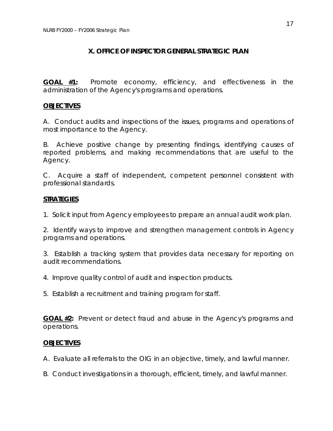### **X. OFFICE OF INSPECTOR GENERAL STRATEGIC PLAN**

**GOAL #1:** Promote economy, efficiency, and effectiveness in the administration of the Agency's programs and operations.

#### **OBJECTIVES**

A. Conduct audits and inspections of the issues, programs and operations of most importance to the Agency.

B. Achieve positive change by presenting findings, identifying causes of reported problems, and making recommendations that are useful to the Agency.

C. Acquire a staff of independent, competent personnel consistent with professional standards.

#### **STRATEGIES**

1. Solicit input from Agency employees to prepare an annual audit work plan.

2. Identify ways to improve and strengthen management controls in Agency programs and operations.

3. Establish a tracking system that provides data necessary for reporting on audit recommendations.

- 4. Improve quality control of audit and inspection products.
- 5. Establish a recruitment and training program for staff.

**GOAL #2:** Prevent or detect fraud and abuse in the Agency's programs and operations.

#### **OBJECTIVES**

A. Evaluate all referrals to the OIG in an objective, timely, and lawful manner.

B. Conduct investigations in a thorough, efficient, timely, and lawful manner.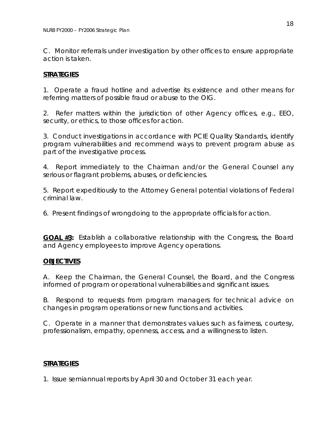C. Monitor referrals under investigation by other offices to ensure appropriate action is taken.

### **STRATEGIES**

1. Operate a fraud hotline and advertise its existence and other means for referring matters of possible fraud or abuse to the OIG.

2. Refer matters within the jurisdiction of other Agency offices, e.g., EEO, security, or ethics, to those offices for action.

3. Conduct investigations in accordance with PCIE Quality Standards, identify program vulnerabilities and recommend ways to prevent program abuse as part of the investigative process.

4. Report immediately to the Chairman and/or the General Counsel any serious or flagrant problems, abuses, or deficiencies.

5. Report expeditiously to the Attorney General potential violations of Federal criminal law.

6. Present findings of wrongdoing to the appropriate officials for action.

**GOAL #3:** Establish a collaborative relationship with the Congress, the Board and Agency employees to improve Agency operations.

### **OBJECTIVES**

A. Keep the Chairman, the General Counsel, the Board, and the Congress informed of program or operational vulnerabilities and significant issues.

B. Respond to requests from program managers for technical advice on changes in program operations or new functions and activities.

C. Operate in a manner that demonstrates values such as fairness, courtesy, professionalism, empathy, openness, access, and a willingness to listen.

### **STRATEGIES**

1. Issue semiannual reports by April 30 and October 31 each year.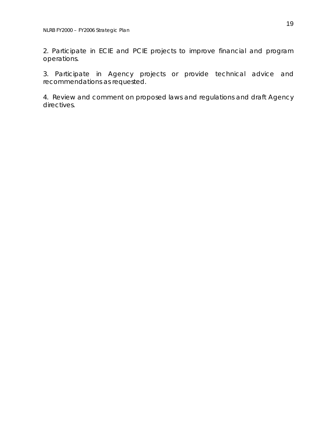2. Participate in ECIE and PCIE projects to improve financial and program operations.

3. Participate in Agency projects or provide technical advice and recommendations as requested.

4. Review and comment on proposed laws and regulations and draft Agency directives.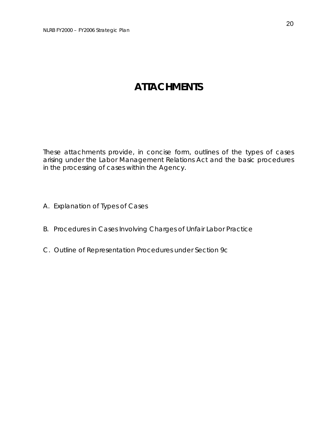# **ATTACHMENTS**

These attachments provide, in concise form, outlines of the types of cases arising under the Labor Management Relations Act and the basic procedures in the processing of cases within the Agency.

- A. Explanation of Types of Cases
- B. Procedures in Cases Involving Charges of Unfair Labor Practice
- C. Outline of Representation Procedures under Section 9c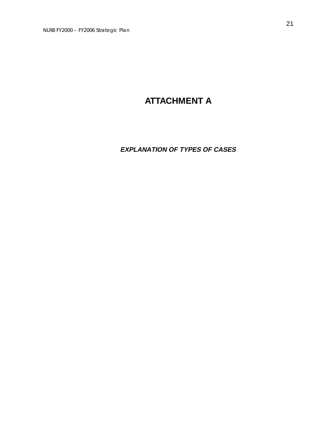# **ATTACHMENT A**

### **EXPLANATION OF TYPES OF CASES**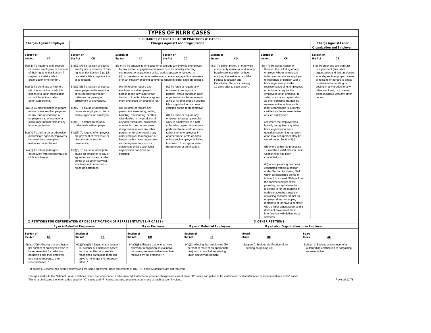| <b>TYPES OF NLRB CASES</b>                                                                                                                                                                                                                                                                                                                                                                                                                                                                                                                                                                                                                                                                                                                                   |                                                                                                                                                                                                                                                                                                                                                                                                                                                                                                                                                                                                                                                                                                                                                                                         |                       |                                                                                                                                                                                                                                                                                                                                                                                                                                                                                                                                                                                                                                                                                                                                                                                                                                                                                                                                                                                             |                                                                                        |                                                                                                                                                                                                                                                                                                                                                                                                                                                                                            |                                                                                                                                                                                                                                                |                |  |                                                                                                                                                                                                                                                                                       |                                                                                                                                                                                                                                                                                                                                                                                                                                                                                                                                                                                                                                                                                                                                                                                                                                                                                                                                                                                                                                            |                       |                                                                                                                          |                                                                                                                                                                    |
|--------------------------------------------------------------------------------------------------------------------------------------------------------------------------------------------------------------------------------------------------------------------------------------------------------------------------------------------------------------------------------------------------------------------------------------------------------------------------------------------------------------------------------------------------------------------------------------------------------------------------------------------------------------------------------------------------------------------------------------------------------------|-----------------------------------------------------------------------------------------------------------------------------------------------------------------------------------------------------------------------------------------------------------------------------------------------------------------------------------------------------------------------------------------------------------------------------------------------------------------------------------------------------------------------------------------------------------------------------------------------------------------------------------------------------------------------------------------------------------------------------------------------------------------------------------------|-----------------------|---------------------------------------------------------------------------------------------------------------------------------------------------------------------------------------------------------------------------------------------------------------------------------------------------------------------------------------------------------------------------------------------------------------------------------------------------------------------------------------------------------------------------------------------------------------------------------------------------------------------------------------------------------------------------------------------------------------------------------------------------------------------------------------------------------------------------------------------------------------------------------------------------------------------------------------------------------------------------------------------|----------------------------------------------------------------------------------------|--------------------------------------------------------------------------------------------------------------------------------------------------------------------------------------------------------------------------------------------------------------------------------------------------------------------------------------------------------------------------------------------------------------------------------------------------------------------------------------------|------------------------------------------------------------------------------------------------------------------------------------------------------------------------------------------------------------------------------------------------|----------------|--|---------------------------------------------------------------------------------------------------------------------------------------------------------------------------------------------------------------------------------------------------------------------------------------|--------------------------------------------------------------------------------------------------------------------------------------------------------------------------------------------------------------------------------------------------------------------------------------------------------------------------------------------------------------------------------------------------------------------------------------------------------------------------------------------------------------------------------------------------------------------------------------------------------------------------------------------------------------------------------------------------------------------------------------------------------------------------------------------------------------------------------------------------------------------------------------------------------------------------------------------------------------------------------------------------------------------------------------------|-----------------------|--------------------------------------------------------------------------------------------------------------------------|--------------------------------------------------------------------------------------------------------------------------------------------------------------------|
| <b>1. CHARGES OF UNFAIR LABOR PRACTICES (C CASES)</b>                                                                                                                                                                                                                                                                                                                                                                                                                                                                                                                                                                                                                                                                                                        |                                                                                                                                                                                                                                                                                                                                                                                                                                                                                                                                                                                                                                                                                                                                                                                         |                       |                                                                                                                                                                                                                                                                                                                                                                                                                                                                                                                                                                                                                                                                                                                                                                                                                                                                                                                                                                                             |                                                                                        |                                                                                                                                                                                                                                                                                                                                                                                                                                                                                            |                                                                                                                                                                                                                                                |                |  |                                                                                                                                                                                                                                                                                       |                                                                                                                                                                                                                                                                                                                                                                                                                                                                                                                                                                                                                                                                                                                                                                                                                                                                                                                                                                                                                                            |                       |                                                                                                                          |                                                                                                                                                                    |
| <b>Charges Against Labor Organization</b><br><b>Charges Against Employer</b>                                                                                                                                                                                                                                                                                                                                                                                                                                                                                                                                                                                                                                                                                 |                                                                                                                                                                                                                                                                                                                                                                                                                                                                                                                                                                                                                                                                                                                                                                                         |                       |                                                                                                                                                                                                                                                                                                                                                                                                                                                                                                                                                                                                                                                                                                                                                                                                                                                                                                                                                                                             |                                                                                        |                                                                                                                                                                                                                                                                                                                                                                                                                                                                                            |                                                                                                                                                                                                                                                |                |  | <b>Charge Against Labor</b><br><b>Organization and Employer</b>                                                                                                                                                                                                                       |                                                                                                                                                                                                                                                                                                                                                                                                                                                                                                                                                                                                                                                                                                                                                                                                                                                                                                                                                                                                                                            |                       |                                                                                                                          |                                                                                                                                                                    |
| Section of<br>CA<br>the Act                                                                                                                                                                                                                                                                                                                                                                                                                                                                                                                                                                                                                                                                                                                                  | Section of<br>CE<br>the Act                                                                                                                                                                                                                                                                                                                                                                                                                                                                                                                                                                                                                                                                                                                                                             | Section of<br>the Act | cc                                                                                                                                                                                                                                                                                                                                                                                                                                                                                                                                                                                                                                                                                                                                                                                                                                                                                                                                                                                          | Section of<br>the Act                                                                  | CD                                                                                                                                                                                                                                                                                                                                                                                                                                                                                         | Section of<br>the Act                                                                                                                                                                                                                          | C <sub>G</sub> |  | Section of<br>the Act                                                                                                                                                                                                                                                                 | CP                                                                                                                                                                                                                                                                                                                                                                                                                                                                                                                                                                                                                                                                                                                                                                                                                                                                                                                                                                                                                                         | Section of<br>the Act |                                                                                                                          | CE                                                                                                                                                                 |
| 8(a)(1) To interfere with, restrain,<br>or coerce employees in exercise<br>of their rights under Section 7<br>(to join or assist a labor<br>organization or to refrain).<br>8(a)(2) To dominate or interfere<br>with the formation or admini-<br>station of a labor organization<br>or contribute financial or<br>other support to it.<br>8(a)(3) By discrimination in regard<br>to hire or tenure of employment<br>or any term or condition of<br>employment to encourage or<br>discourage membership in any<br>labor organization.<br>8(a)(4) To discharge or otherwise<br>discriminate against employees<br>because they have given<br>testimony under the Act.<br>8(a)(5) To refuse to bargain<br>collectively with representatives<br>of its employees. | 8(b)(1)(A) To restrain or coerce<br>employees in exercise of their<br>rights under Section 7 (to join<br>or assist a labor organization<br>or to refrain).<br>8(b)(1)(B) To restrain or coerce<br>an employer in the selection<br>of its representatives for<br>collective bargaining or<br>adjustment of grievances.<br>8(b)(2) To cause or attempt to<br>cause an employer to discri-<br>minate against an employee.<br>8(b)(3) To refuse to bargain<br>collectively with employer.<br>8(b)(5) To require of employees<br>the payment of excessive or<br>discriminatory fees for<br>membership.<br>8(b)(6) To cause or attempt to<br>cause an employer to pay or<br>agree to pay money or other<br>things of value for services<br>which are not performed or<br>not to be performed. | certified.            | 8(b)(4)(i) To engage in, or induce or encourage any individual employed<br>by any person engaged in commerce or in an industry affecting<br>commerce, to engage in a strike, work stoppage, or boycott, or<br>(ii) to threaten, coerce, or restrain any person engaged in commerce<br>or in an industry affecting commerce, where in either case an object is:<br>(A) To force or require any<br>employer or self-employed<br>person to join any labor organ-<br>ization or to enter into any agree-<br>ment prohibited by Section 8 (e).<br>(B) To force or require any<br>person to cease using, selling,<br>handling, transporting, or other-<br>wise dealing in the products of<br>any other producer, processor,<br>or manufacturer, or to cease<br>doing business with any other<br>person, or force or require any<br>other employer to recognice or<br>bargain with a labor organization<br>as the representative of its<br>employees unless such labor<br>organization has been so | (C) To force or require any<br>employer to recognize or<br>(D) To force or require any | bargain with a particular labor<br>organization as the represent-<br>ative of its employees if another<br>labor organization has been<br>certified as the representative.<br>employer to assign particular<br>work to employees in a parti-<br>cular labor organization or in a<br>particular trade, craft, or class<br>rather than to employees in<br>another trade, craft, or class,<br>unless such employer is failing<br>to conform to an appropriate<br>Board order or certification. | 8(g) To strike, picket, or otherwise<br>concertedly refuse to work at any<br>health care institution without<br>notifying the institution and the<br>Federal Mediation and<br>Conciliation Service in writing<br>10 days prior to such action. |                |  | 8(b)(7) To picket, cause, or<br>labor organization as the<br>or to force or require the<br>of such employees:<br>labor organization and a<br>raised under Section 9(c).<br>Section 9(c) has been<br>conducted, or<br>the commencement of the<br>employer does not employ<br>services. | threaten the picketing of any<br>employer where an object is<br>to force or require an employer<br>to recognize or bargain with a<br>representative of its employees,<br>employees of an employer to<br>select such labor organization<br>as their collective-bargaining<br>representative, unless such<br>labor organization is currently<br>certified as the representative<br>(A) where the employer has<br>lawfully recognized any other<br>question concerning represent-<br>ation may not appropriately be<br>(B) where within the preceding<br>12 months a valid election under<br>(C) where picketing has been<br>conducted without a petition<br>under Section 9(c) being filed<br>within a reasonable period of<br>time not to exceed 30 days from<br>picketing; except where the<br>picketing is for the purpose of<br>truthfully advising the public<br>(including consumers) that an<br>members of, or have a contract<br>with, a labor organization, and it<br>does not have an effect of<br>interference with deliveries or | person.               | 8(e) To enter into any contract<br>or agreement (any labor<br>or refrain from handling or<br>other employer, or to cease | organization and any employer)<br>whereby such employer ceases<br>or refrains or agrees to cease<br>dealing in any product of any<br>doing business with any other |
|                                                                                                                                                                                                                                                                                                                                                                                                                                                                                                                                                                                                                                                                                                                                                              | 2. PETITIONS FOR CERTIFICATION OR DECERTIFICATION OF REPRESENTATIVES (R CASES)                                                                                                                                                                                                                                                                                                                                                                                                                                                                                                                                                                                                                                                                                                          |                       |                                                                                                                                                                                                                                                                                                                                                                                                                                                                                                                                                                                                                                                                                                                                                                                                                                                                                                                                                                                             |                                                                                        |                                                                                                                                                                                                                                                                                                                                                                                                                                                                                            |                                                                                                                                                                                                                                                |                |  | 3. OTHER PETITIONS                                                                                                                                                                                                                                                                    |                                                                                                                                                                                                                                                                                                                                                                                                                                                                                                                                                                                                                                                                                                                                                                                                                                                                                                                                                                                                                                            |                       |                                                                                                                          |                                                                                                                                                                    |
|                                                                                                                                                                                                                                                                                                                                                                                                                                                                                                                                                                                                                                                                                                                                                              | By or in Behalf of Employees                                                                                                                                                                                                                                                                                                                                                                                                                                                                                                                                                                                                                                                                                                                                                            |                       | By an Employer                                                                                                                                                                                                                                                                                                                                                                                                                                                                                                                                                                                                                                                                                                                                                                                                                                                                                                                                                                              |                                                                                        | By a Labor Organization or an Employer<br>By or in Behalf of Employees                                                                                                                                                                                                                                                                                                                                                                                                                     |                                                                                                                                                                                                                                                |                |  |                                                                                                                                                                                                                                                                                       |                                                                                                                                                                                                                                                                                                                                                                                                                                                                                                                                                                                                                                                                                                                                                                                                                                                                                                                                                                                                                                            |                       |                                                                                                                          |                                                                                                                                                                    |
| Section of<br>Section of                                                                                                                                                                                                                                                                                                                                                                                                                                                                                                                                                                                                                                                                                                                                     |                                                                                                                                                                                                                                                                                                                                                                                                                                                                                                                                                                                                                                                                                                                                                                                         |                       | Section of                                                                                                                                                                                                                                                                                                                                                                                                                                                                                                                                                                                                                                                                                                                                                                                                                                                                                                                                                                                  | Section of                                                                             |                                                                                                                                                                                                                                                                                                                                                                                                                                                                                            |                                                                                                                                                                                                                                                | Board          |  |                                                                                                                                                                                                                                                                                       | Board                                                                                                                                                                                                                                                                                                                                                                                                                                                                                                                                                                                                                                                                                                                                                                                                                                                                                                                                                                                                                                      |                       |                                                                                                                          |                                                                                                                                                                    |

| Section of                                                                                                                                                                                         | Section of                                                                                                                                                                                          | Section of                                                                                                                                        | Section of                                                                                                                                 | <b>Board</b>                                                       | <b>Board</b>                                                                                    |
|----------------------------------------------------------------------------------------------------------------------------------------------------------------------------------------------------|-----------------------------------------------------------------------------------------------------------------------------------------------------------------------------------------------------|---------------------------------------------------------------------------------------------------------------------------------------------------|--------------------------------------------------------------------------------------------------------------------------------------------|--------------------------------------------------------------------|-------------------------------------------------------------------------------------------------|
| the Act                                                                                                                                                                                            | the Act                                                                                                                                                                                             | <b>RM</b>                                                                                                                                         | the Act                                                                                                                                    | <b>Rules</b>                                                       | <b>Rules</b>                                                                                    |
| RC                                                                                                                                                                                                 | <u>RD</u>                                                                                                                                                                                           | the Act                                                                                                                                           | UD                                                                                                                                         | <u>UC</u>                                                          | AC                                                                                              |
| $9(c)(1)(A)(i)$ Alleging that a substan-<br>tial number of employees wish to<br>be represented for collective<br>bargaining and their employer<br>declines to recognize their<br>representative. * | 9(c)(1)(A)(ii) Alleging that a substan-<br>tial number of employees assert<br>that the certified or currently<br>recognized bargaining represen-<br>tative is no longer their represen-<br>tative.' | 9(c)(1)(B) Alleging that one or more<br>claims for recognition as exclusive<br>bargaining representative have been<br>received by the employer. * | 9(e)(1) Alleging that employees (30<br>percent or more of an appropriate<br>unit) wish to rescind an existing<br>union-security agreement. | Subpart C Seeking clarification of an<br>existing bargaining unit. | Subpart C Seeking amendment of an<br>outstanding certification of bargaining<br>representative. |

\* If an 8(b)(1) charge has been filed involving the same employer, these statements in RC, RD, and RM petitions are not required.

Charges filed with the National Labor Relations Board are letter-coded and numbered. Unfair labor practice charges are classified as "C" cases and petitions for certification or decertification of representatives as "R" ca This chart indicates the letter codes used for "C" cases and "R" cases, and also presents a summary of each section involved. Revised 12/78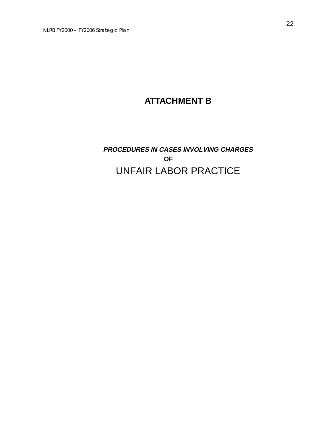# **ATTACHMENT B**

# **PROCEDURES IN CASES INVOLVING CHARGES OF**  UNFAIR LABOR PRACTICE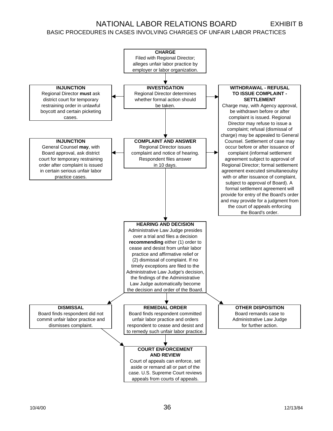### NATIONAL LABOR RELATIONS BOARD EXHIBIT B

#### BASIC PROCEDURES IN CASES INVOLVING CHARGES OF UNFAIR LABOR PRACTICES

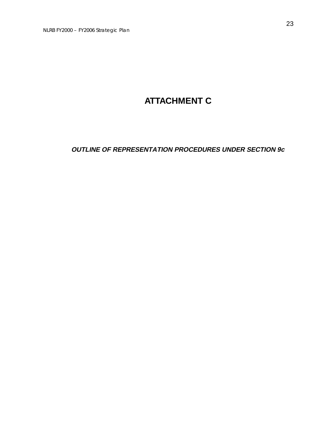# **ATTACHMENT C**

**OUTLINE OF REPRESENTATION PROCEDURES UNDER SECTION 9c**